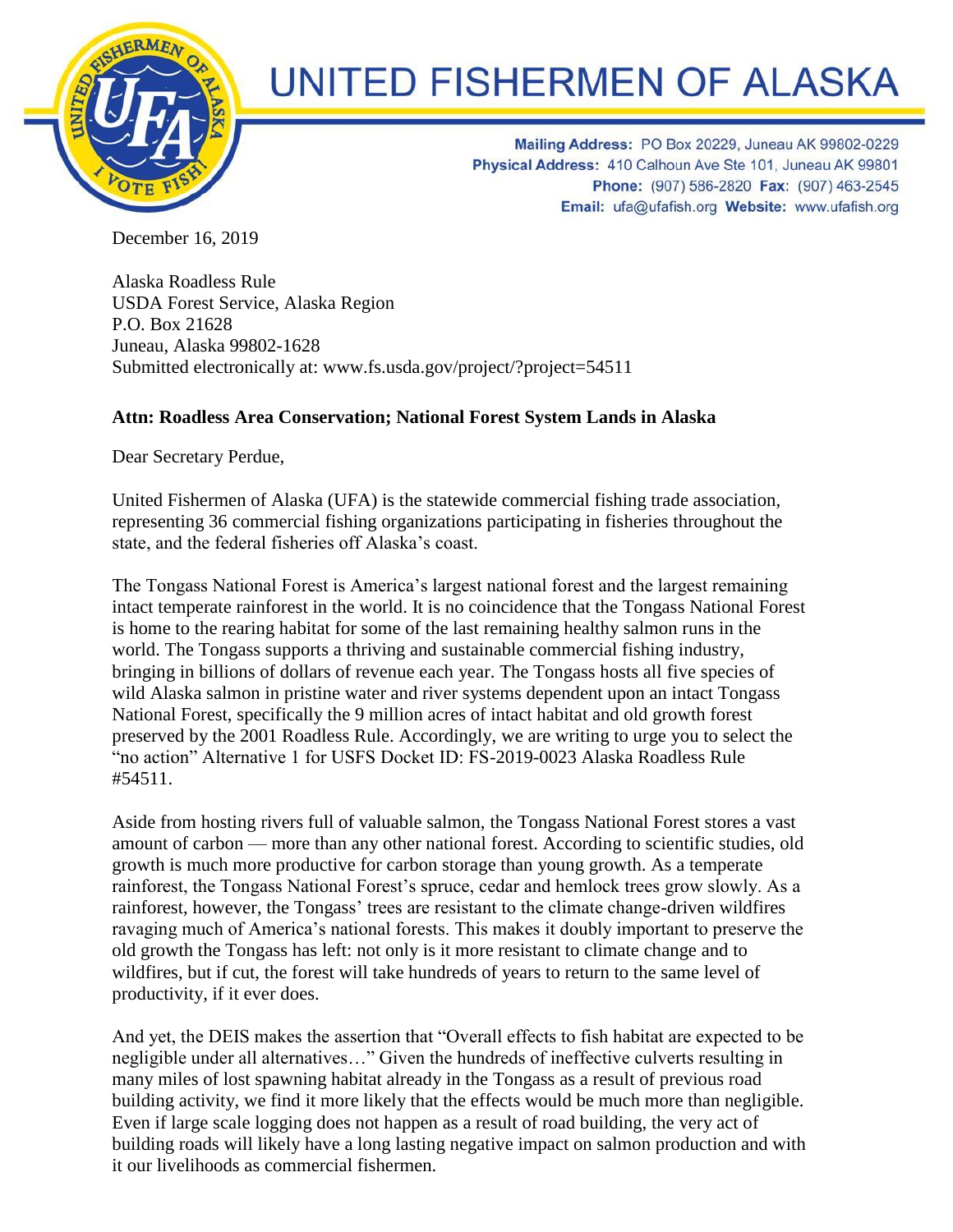

## **UNITED FISHERMEN OF ALASKA**

Mailing Address: PO Box 20229, Juneau AK 99802-0229 Physical Address: 410 Calhoun Ave Ste 101, Juneau AK 99801 Phone: (907) 586-2820 Fax: (907) 463-2545 Email: ufa@ufafish.org Website: www.ufafish.org

December 16, 2019

Alaska Roadless Rule USDA Forest Service, Alaska Region P.O. Box 21628 Juneau, Alaska 99802-1628 Submitted electronically at: www.fs.usda.gov/project/?project=54511

## **Attn: Roadless Area Conservation; National Forest System Lands in Alaska**

Dear Secretary Perdue,

United Fishermen of Alaska (UFA) is the statewide commercial fishing trade association, representing 36 commercial fishing organizations participating in fisheries throughout the state, and the federal fisheries off Alaska's coast.

The Tongass National Forest is America's largest national forest and the largest remaining intact temperate rainforest in the world. It is no coincidence that the Tongass National Forest is home to the rearing habitat for some of the last remaining healthy salmon runs in the world. The Tongass supports a thriving and sustainable commercial fishing industry, bringing in billions of dollars of revenue each year. The Tongass hosts all five species of wild Alaska salmon in pristine water and river systems dependent upon an intact Tongass National Forest, specifically the 9 million acres of intact habitat and old growth forest preserved by the 2001 Roadless Rule. Accordingly, we are writing to urge you to select the "no action" Alternative 1 for USFS Docket ID: FS-2019-0023 Alaska Roadless Rule #54511.

Aside from hosting rivers full of valuable salmon, the Tongass National Forest stores a vast amount of carbon — more than any other national forest. According to scientific studies, old growth is much more productive for carbon storage than young growth. As a temperate rainforest, the Tongass National Forest's spruce, cedar and hemlock trees grow slowly. As a rainforest, however, the Tongass' trees are resistant to the climate change-driven wildfires ravaging much of America's national forests. This makes it doubly important to preserve the old growth the Tongass has left: not only is it more resistant to climate change and to wildfires, but if cut, the forest will take hundreds of years to return to the same level of productivity, if it ever does.

And yet, the DEIS makes the assertion that "Overall effects to fish habitat are expected to be negligible under all alternatives…" Given the hundreds of ineffective culverts resulting in many miles of lost spawning habitat already in the Tongass as a result of previous road building activity, we find it more likely that the effects would be much more than negligible. Even if large scale logging does not happen as a result of road building, the very act of building roads will likely have a long lasting negative impact on salmon production and with it our livelihoods as commercial fishermen.